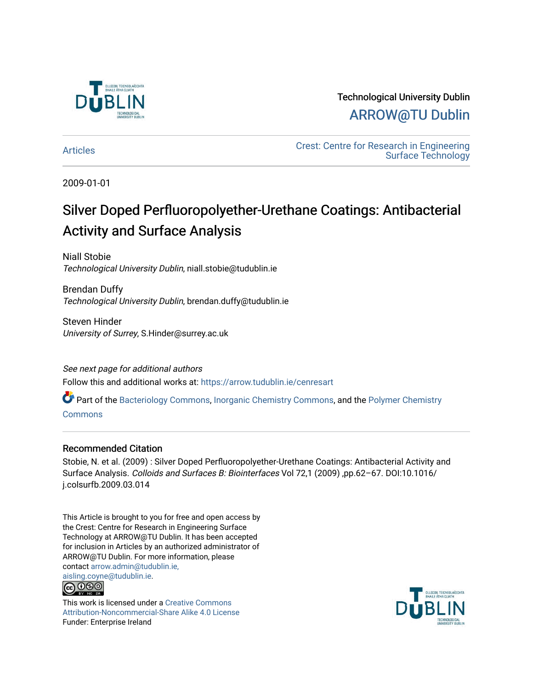

Technological University Dublin [ARROW@TU Dublin](https://arrow.tudublin.ie/) 

[Articles](https://arrow.tudublin.ie/cenresart) **Crest: Centre for Research in Engineering** [Surface Technology](https://arrow.tudublin.ie/cenres) 

2009-01-01

### Silver Doped Perfluoropolyether-Urethane Coatings: Antibacterial Activity and Surface Analysis

Niall Stobie Technological University Dublin, niall.stobie@tudublin.ie

Brendan Duffy Technological University Dublin, brendan.duffy@tudublin.ie

Steven Hinder University of Surrey, S.Hinder@surrey.ac.uk

See next page for additional authors Follow this and additional works at: [https://arrow.tudublin.ie/cenresart](https://arrow.tudublin.ie/cenresart?utm_source=arrow.tudublin.ie%2Fcenresart%2F9&utm_medium=PDF&utm_campaign=PDFCoverPages)

Part of the [Bacteriology Commons](http://network.bepress.com/hgg/discipline/49?utm_source=arrow.tudublin.ie%2Fcenresart%2F9&utm_medium=PDF&utm_campaign=PDFCoverPages), [Inorganic Chemistry Commons](http://network.bepress.com/hgg/discipline/137?utm_source=arrow.tudublin.ie%2Fcenresart%2F9&utm_medium=PDF&utm_campaign=PDFCoverPages), and the [Polymer Chemistry](http://network.bepress.com/hgg/discipline/140?utm_source=arrow.tudublin.ie%2Fcenresart%2F9&utm_medium=PDF&utm_campaign=PDFCoverPages) 

[Commons](http://network.bepress.com/hgg/discipline/140?utm_source=arrow.tudublin.ie%2Fcenresart%2F9&utm_medium=PDF&utm_campaign=PDFCoverPages)

### Recommended Citation

Stobie, N. et al. (2009) : Silver Doped Perfluoropolyether-Urethane Coatings: Antibacterial Activity and Surface Analysis. Colloids and Surfaces B: Biointerfaces Vol 72,1 (2009) ,pp.62–67. DOI:10.1016/ j.colsurfb.2009.03.014

This Article is brought to you for free and open access by the Crest: Centre for Research in Engineering Surface Technology at ARROW@TU Dublin. It has been accepted for inclusion in Articles by an authorized administrator of ARROW@TU Dublin. For more information, please contact [arrow.admin@tudublin.ie,](mailto:arrow.admin@tudublin.ie,%20aisling.coyne@tudublin.ie)  [aisling.coyne@tudublin.ie.](mailto:arrow.admin@tudublin.ie,%20aisling.coyne@tudublin.ie)



This work is licensed under a [Creative Commons](http://creativecommons.org/licenses/by-nc-sa/4.0/) [Attribution-Noncommercial-Share Alike 4.0 License](http://creativecommons.org/licenses/by-nc-sa/4.0/) Funder: Enterprise Ireland

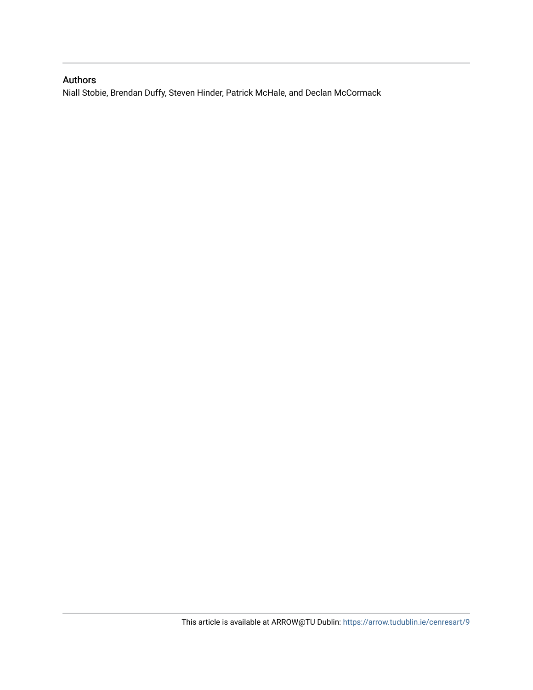### Authors

Niall Stobie, Brendan Duffy, Steven Hinder, Patrick McHale, and Declan McCormack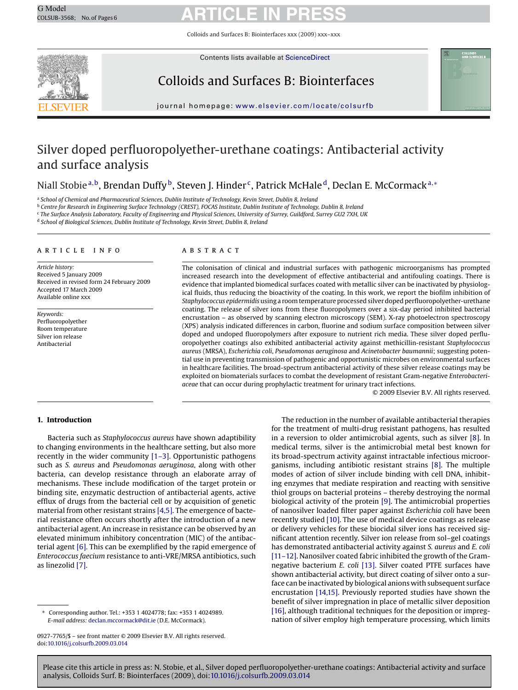# G Model G Model **ARTICLE IN PRESS**

Colloids and Surfaces B: Biointerfaces xxx (2009) xxx–xxx



Contents lists available at [ScienceDirect](http://www.sciencedirect.com/science/journal/09277765)

### Colloids and Surfaces B: Biointerfaces



journal homepage: [www.elsevier.com/locate/colsurfb](http://www.elsevier.com/locate/colsurfb)

### Silver doped perfluoropolyether-urethane coatings: Antibacterial activity and surface analysis

### Niall Stobie<sup>a,b</sup>, Brendan Duffy<sup>b</sup>, Steven J. Hinder<sup>c</sup>, Patrick McHale<sup>d</sup>, Declan E. McCormack<sup>a,∗</sup>

<sup>a</sup> *School of Chemical and Pharmaceutical Sciences, Dublin Institute of Technology, Kevin Street, Dublin 8, Ireland*

<sup>b</sup> *Centre for Research in Engineering Surface Technology (CREST), FOCAS Institute, Dublin Institute of Technology, Dublin 8, Ireland*

<sup>c</sup> *The Surface Analysis Laboratory, Faculty of Engineering and Physical Sciences, University of Surrey, Guildford, Surrey GU2 7XH, UK*

<sup>d</sup> *School of Biological Sciences, Dublin Institute of Technology, Kevin Street, Dublin 8, Ireland*

#### article info

*Article history:* Received 5 January 2009 Received in revised form 24 February 2009 Accepted 17 March 2009 Available online xxx

*Keywords:* Perfluoropolyether Room temperature Silver ion release Antibacterial

#### ABSTRACT

The colonisation of clinical and industrial surfaces with pathogenic microorganisms has prompted increased research into the development of effective antibacterial and antifouling coatings. There is evidence that implanted biomedical surfaces coated with metallic silver can be inactivated by physiological fluids, thus reducing the bioactivity of the coating. In this work, we report the biofilm inhibition of *Staphylococcus epidermidis*using a room temperature processed silver doped perfluoropolyether-urethane coating. The release of silver ions from these fluoropolymers over a six-day period inhibited bacterial encrustation – as observed by scanning electron microscopy (SEM). X-ray photoelectron spectroscopy (XPS) analysis indicated differences in carbon, fluorine and sodium surface composition between silver doped and undoped fluoropolymers after exposure to nutrient rich media. These silver doped perfluoropolyether coatings also exhibited antibacterial activity against methicillin-resistant *Staphylococcus aureus* (MRSA), *Escherichia coli*, *Pseudomonas aeruginosa* and *Acinetobacter baumannii*; suggesting potential use in preventing transmission of pathogenic and opportunistic microbes on environmental surfaces in healthcare facilities. The broad-spectrum antibacterial activity of these silver release coatings may be exploited on biomaterials surfaces to combat the development of resistant Gram-negative *Enterobacteriaceae* that can occur during prophylactic treatment for urinary tract infections.

© 2009 Elsevier B.V. All rights reserved.

#### **1. Introduction**

Bacteria such as *Staphylococcus aureus* have shown adaptibility to changing environments in the healthcare setting, but also more recently in the wider community [\[1–3\].](#page-7-0) Opportunistic pathogens such as *S. aureus* and *Pseudomonas aeruginosa*, along with other bacteria, can develop resistance through an elaborate array of mechanisms. These include modification of the target protein or binding site, enzymatic destruction of antibacterial agents, active efflux of drugs from the bacterial cell or by acquisition of genetic material from other resistant strains [\[4,5\]. T](#page-7-0)he emergence of bacterial resistance often occurs shortly after the introduction of a new antibacterial agent. An increase in resistance can be observed by an elevated minimum inhibitory concentration (MIC) of the antibacterial agent [\[6\]. T](#page-7-0)his can be exemplified by the rapid emergence of *Enterococcus faecium* resistance to anti-VRE/MRSA antibiotics, such as linezolid [\[7\].](#page-7-0)

The reduction in the number of available antibacterial therapies for the treatment of multi-drug resistant pathogens, has resulted in a reversion to older antimicrobial agents, such as silver [\[8\].](#page-7-0) In medical terms, silver is the antimicrobial metal best known for its broad-spectrum activity against intractable infectious microorganisms, including antibiotic resistant strains [\[8\].](#page-7-0) The multiple modes of action of silver include binding with cell DNA, inhibiting enzymes that mediate respiration and reacting with sensitive thiol groups on bacterial proteins – thereby destroying the normal biological activity of the protein [\[9\]. T](#page-7-0)he antimicrobial properties of nanosilver loaded filter paper against *Escherichia coli* have been recently studied [\[10\]. T](#page-7-0)he use of medical device coatings as release or delivery vehicles for these biocidal silver ions has received significant attention recently. Silver ion release from sol–gel coatings has demonstrated antibacterial activity against *S. aureus* and *E. coli* [\[11–12\]. N](#page-7-0)anosilver coated fabric inhibited the growth of the Gramnegative bacterium *E. coli* [\[13\].](#page-7-0) Silver coated PTFE surfaces have shown antibacterial activity, but direct coating of silver onto a surface can be inactivated by biological anions with subsequent surface encrustation [\[14,15\]. P](#page-7-0)reviously reported studies have shown the benefit of silver impregnation in place of metallic silver deposition [\[16\], a](#page-7-0)lthough traditional techniques for the deposition or impregnation of silver employ high temperature processing, which limits

<sup>∗</sup> Corresponding author. Tel.: +353 1 4024778; fax: +353 1 4024989. *E-mail address:* [declan.mccormack@dit.ie](mailto:declan.mccormack@dit.ie) (D.E. McCormack).

<sup>0927-7765/\$ –</sup> see front matter © 2009 Elsevier B.V. All rights reserved. doi:[10.1016/j.colsurfb.2009.03.014](dx.doi.org/10.1016/j.colsurfb.2009.03.014)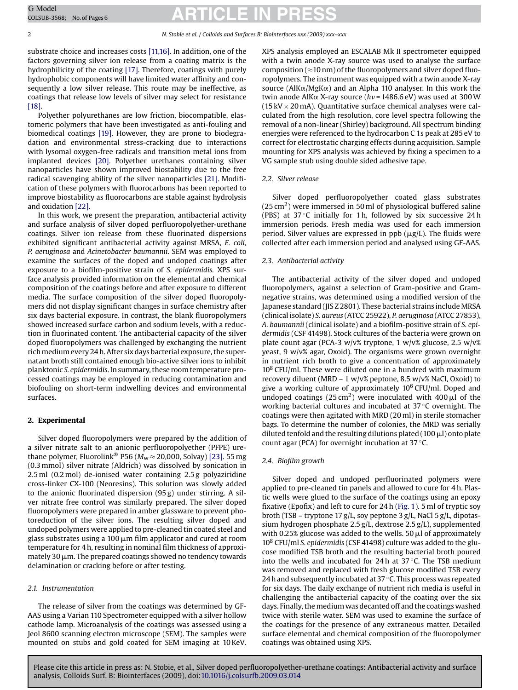# G Model GOLSUB-3568; No. of Pages 6 **ARTICLE IN PRESS**

substrate choice and increases costs [\[11,16\]. I](#page-7-0)n addition, one of the factors governing silver ion release from a coating matrix is the hydrophilicity of the coating [\[17\]. T](#page-7-0)herefore, coatings with purely hydrophobic components will have limited water affinity and consequently a low silver release. This route may be ineffective, as coatings that release low levels of silver may select for resistance [\[18\].](#page-7-0)

Polyether polyurethanes are low friction, biocompatible, elastomeric polymers that have been investigated as anti-fouling and biomedical coatings [\[19\].](#page-7-0) However, they are prone to biodegradation and environmental stress-cracking due to interactions with lysomal oxygen-free radicals and transition metal ions from implanted devices [\[20\].](#page-7-0) Polyether urethanes containing silver nanoparticles have shown improved biostability due to the free radical scavenging ability of the silver nanoparticles [\[21\].](#page-7-0) Modification of these polymers with fluorocarbons has been reported to improve biostability as fluorocarbons are stable against hydrolysis and oxidation [\[22\].](#page-7-0)

In this work, we present the preparation, antibacterial activity and surface analysis of silver doped perfluoropolyether-urethane coatings. Silver ion release from these fluorinated dispersions exhibited significant antibacterial activity against MRSA, *E. coli*, *P. aeruginosa* and *Acinetobacter baumannii*. SEM was employed to examine the surfaces of the doped and undoped coatings after exposure to a biofilm-positive strain of *S. epidermidis.* XPS surface analysis provided information on the elemental and chemical composition of the coatings before and after exposure to different media. The surface composition of the silver doped fluoropolymers did not display significant changes in surface chemistry after six days bacterial exposure. In contrast, the blank fluoropolymers showed increased surface carbon and sodium levels, with a reduction in fluorinated content. The antibacterial capacity of the silver doped fluoropolymers was challenged by exchanging the nutrient rich medium every 24 h. After six days bacterial exposure, the supernatant broth still contained enough bio-active silver ions to inhibit planktonic *S. epidermidis*. In summary, these room temperature processed coatings may be employed in reducing contamination and biofouling on short-term indwelling devices and environmental surfaces.

#### **2. Experimental**

Silver doped fluoropolymers were prepared by the addition of a silver nitrate salt to an anionic perfluoropolyether (PFPE) urethane polymer, Fluorolink<sup>®</sup> P56 ( $M_w \approx 20,000$ , Solvay) [\[23\]. 5](#page-7-0)5 mg (0.3 mmol) silver nitrate (Aldrich) was dissolved by sonication in 2.5 ml (0.2 mol) de-ionised water containing 2.5 g polyaziridine cross-linker CX-100 (Neoresins). This solution was slowly added to the anionic fluorinated dispersion (95 g) under stirring. A silver nitrate free control was similarly prepared. The silver doped fluoropolymers were prepared in amber glassware to prevent photoreduction of the silver ions. The resulting silver doped and undoped polymers were applied to pre-cleaned tin coated steel and glass substrates using a 100  $\mu$ m film applicator and cured at room temperature for 4 h, resulting in nominal film thickness of approximately 30 µm. The prepared coatings showed no tendency towards delamination or cracking before or after testing.

#### *2.1. Instrumentation*

The release of silver from the coatings was determined by GF-AAS using a Varian 110 Spectrometer equipped with a silver hollow cathode lamp. Microanalysis of the coatings was assessed using a Jeol 8600 scanning electron microscope (SEM). The samples were mounted on stubs and gold coated for SEM imaging at 10 KeV.

XPS analysis employed an ESCALAB Mk II spectrometer equipped with a twin anode X-ray source was used to analyse the surface composition ( $\approx$ 10 nm) of the fluoropolymers and silver doped fluoropolymers. The instrument was equipped with a twin anode X-ray source (AlK $\alpha$ /MgK $\alpha$ ) and an Alpha 110 analyser. In this work the twin anode AlKα X-ray source (hv= 1486.6 eV) was used at 300 W (15 kV  $\times$  20 mA). Quantitative surface chemical analyses were calculated from the high resolution, core level spectra following the removal of a non-linear (Shirley) background. All spectrum binding energies were referenced to the hydrocarbon C 1s peak at 285 eV to correct for electrostatic charging effects during acquisition. Sample mounting for XPS analysis was achieved by fixing a specimen to a VG sample stub using double sided adhesive tape.

#### *2.2. Silver release*

Silver doped perfluoropolyether coated glass substrates  $(25 \text{ cm}^2)$  were immersed in 50 ml of physiological buffered saline (PBS) at  $37^{\circ}$ C initially for 1 h, followed by six successive 24 h immersion periods. Fresh media was used for each immersion period. Silver values are expressed in  $ppb$  ( $\mu$ g/L). The fluids were collected after each immersion period and analysed using GF-AAS.

#### *2.3. Antibacterial activity*

The antibacterial activity of the silver doped and undoped fluoropolymers, against a selection of Gram-positive and Gramnegative strains, was determined using a modified version of the Japanese standard (JIS Z 2801). These bacterial strains include MRSA (clinical isolate) *S. aureus* (ATCC 25922), *P. aeruginosa* (ATCC 27853), *A. baumannii* (clinical isolate) and a biofilm-positive strain of *S. epidermidis* (CSF 41498). Stock cultures of the bacteria were grown on plate count agar (PCA-3 w/v% tryptone, 1 w/v% glucose, 2.5 w/v% yeast, 9 w/v% agar, Oxoid). The organisms were grown overnight in nutrient rich broth to give a concentration of approximately  $10^8$  CFU/ml. These were diluted one in a hundred with maximum recovery diluent (MRD – 1 w/v% peptone, 8.5 w/v% NaCl, Oxoid) to give a working culture of approximately  $10^6$  CFU/ml. Doped and undoped coatings (25 cm<sup>2</sup>) were inoculated with 400  $\mu$ l of the working bacterial cultures and incubated at 37 °C overnight. The coatings were then agitated with MRD (20 ml) in sterile stomacher bags. To determine the number of colonies, the MRD was serially diluted tenfold and the resulting dilutions plated (100  $\mu$ l) onto plate count agar (PCA) for overnight incubation at 37 ◦C.

#### *2.4. Biofilm growth*

Silver doped and undoped perfluorinated polymers were applied to pre-cleaned tin panels and allowed to cure for 4 h. Plastic wells were glued to the surface of the coatings using an epoxy fixative (Epofix) and left to cure for 24 h ([Fig. 1\).](#page-4-0) 5 ml of tryptic soy broth (TSB – tryptone 17 g/L, soy peptone 3 g/L, NaCl 5 g/L, dipotassium hydrogen phosphate 2.5 g/L, dextrose 2.5 g/L), supplemented with 0.25% glucose was added to the wells. 50  $\mu$ l of approximately 108 CFU/ml *S. epidermidis* (CSF 41498) culture was added to the glucose modified TSB broth and the resulting bacterial broth poured into the wells and incubated for 24 h at 37 ◦C. The TSB medium was removed and replaced with fresh glucose modified TSB every 24 h and subsequently incubated at 37 $\degree$ C. This process was repeated for six days. The daily exchange of nutrient rich media is useful in challenging the antibacterial capacity of the coating over the six days. Finally, the medium was decanted off and the coatings washed twice with sterile water. SEM was used to examine the surface of the coatings for the presence of any extraneous matter. Detailed surface elemental and chemical composition of the fluoropolymer coatings was obtained using XPS.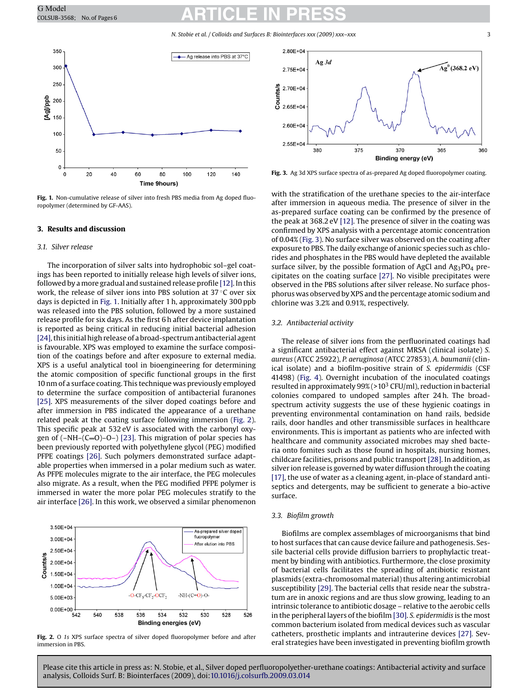# <span id="page-4-0"></span>G Model GOMOdel **ARTICLE IN PRESS**

*N. Stobie et al. / Colloids and Surfaces B: Biointerfaces xxx (2009) xxx–xxx* 3



**Fig. 1.** Non-cumulative release of silver into fresh PBS media from Ag doped fluoropolymer (determined by GF-AAS).

#### **3. Results and discussion**

#### *3.1. Silver release*

The incorporation of silver salts into hydrophobic sol–gel coatings has been reported to initially release high levels of silver ions, followed by a more gradual and sustained release profile [\[12\]. I](#page-7-0)n this work, the release of silver ions into PBS solution at 37 ◦C over six days is depicted in Fig. 1. Initially after 1 h, approximately 300 ppb was released into the PBS solution, followed by a more sustained release profile for six days. As the first 6 h after device implantation is reported as being critical in reducing initial bacterial adhesion [\[24\], t](#page-7-0)his initial high release of a broad-spectrum antibacterial agent is favourable. XPS was employed to examine the surface composition of the coatings before and after exposure to external media. XPS is a useful analytical tool in bioengineering for determining the atomic composition of specific functional groups in the first 10 nm of a surface coating. This technique was previously employed to determine the surface composition of antibacterial furanones [\[25\].](#page-7-0) XPS measurements of the silver doped coatings before and after immersion in PBS indicated the appearance of a urethane related peak at the coating surface following immersion (Fig. 2). This specific peak at 532 eV is associated with the carbonyl oxygen of  $(-NH-(C=0)-0-)$  [\[23\].](#page-7-0) This migration of polar species has been previously reported with polyethylene glycol (PEG) modified PFPE coatings [\[26\].](#page-7-0) Such polymers demonstrated surface adaptable properties when immersed in a polar medium such as water. As PFPE molecules migrate to the air interface, the PEG molecules also migrate. As a result, when the PEG modified PFPE polymer is immersed in water the more polar PEG molecules stratify to the air interface [\[26\]. I](#page-7-0)n this work, we observed a similar phenomenon



**Fig. 2.** O *1s* XPS surface spectra of silver doped fluoropolymer before and after immersion in PBS.



**Fig. 3.** Ag 3d XPS surface spectra of as-prepared Ag doped fluoropolymer coating.

with the stratification of the urethane species to the air-interface after immersion in aqueous media. The presence of silver in the as-prepared surface coating can be confirmed by the presence of the peak at 368.2 eV [\[12\]. T](#page-7-0)he presence of silver in the coating was confirmed by XPS analysis with a percentage atomic concentration of 0.04% (Fig. 3). No surface silver was observed on the coating after exposure to PBS. The daily exchange of anionic species such as chlorides and phosphates in the PBS would have depleted the available surface silver, by the possible formation of AgCl and  $Ag_3PO_4$  precipitates on the coating surface [\[27\].](#page-7-0) No visible precipitates were observed in the PBS solutions after silver release. No surface phosphorus was observed by XPS and the percentage atomic sodium and chlorine was 3.2% and 0.91%, respectively.

#### *3.2. Antibacterial activity*

The release of silver ions from the perfluorinated coatings had a significant antibacterial effect against MRSA (clinical isolate) *S. aureus* (ATCC 25922), *P. aeruginosa* (ATCC 27853), *A. baumanii* (clinical isolate) and a biofilm-positive strain of *S. epidermidis* (CSF 41498) [\(Fig. 4\).](#page-5-0) Overnight incubation of the inoculated coatings resulted in approximately  $99\%$  ( $>10^3$  CFU/ml), reduction in bacterial colonies compared to undoped samples after 24 h. The broadspectrum activity suggests the use of these hygienic coatings in preventing environmental contamination on hand rails, bedside rails, door handles and other transmissible surfaces in healthcare environments. This is important as patients who are infected with healthcare and community associated microbes may shed bacteria onto fomites such as those found in hospitals, nursing homes, childcare facilities, prisons and public transport [\[28\]. I](#page-7-0)n addition, as silver ion release is governed by water diffusion through the coating [\[17\], t](#page-7-0)he use of water as a cleaning agent, in-place of standard antiseptics and detergents, may be sufficient to generate a bio-active surface.

#### *3.3. Biofilm growth*

Biofilms are complex assemblages of microorganisms that bind to host surfaces that can cause device failure and pathogenesis. Sessile bacterial cells provide diffusion barriers to prophylactic treatment by binding with antibiotics. Furthermore, the close proximity of bacterial cells facilitates the spreading of antibiotic resistant plasmids (extra-chromosomal material) thus altering antimicrobial susceptibility [\[29\]. T](#page-7-0)he bacterial cells that reside near the substratum are in anoxic regions and are thus slow growing, leading to an intrinsic tolerance to antibiotic dosage – relative to the aerobic cells in the peripheral layers of the biofilm [\[30\].](#page-7-0) *S. epidermidis* is the most common bacterium isolated from medical devices such as vascular catheters, prosthetic implants and intrauterine devices [\[27\]](#page-7-0)*.* Several strategies have been investigated in preventing biofilm growth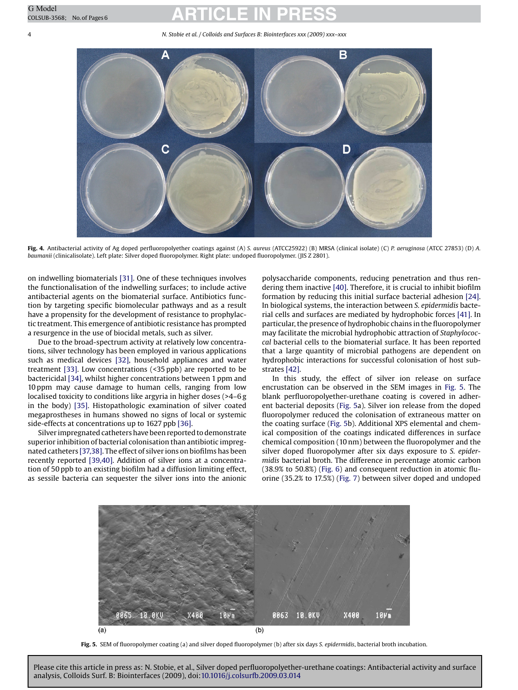# <span id="page-5-0"></span>G Model GOLSUB-3568; No. of Pages 6 **ARTICLE IN PRESS**

4 *N. Stobie et al. / Colloids and Surfaces B: Biointerfaces xxx (2009) xxx–xxx*



**Fig. 4.** Antibacterial activity of Ag doped perfluoropolyether coatings against (A) *S. aureus* (ATCC25922) (B) MRSA (clinical isolate) (C) *P. aeruginosa* (ATCC 27853) (D) *A. baumanii* (clinicalisolate). Left plate: Silver doped fluoropolymer. Right plate: undoped fluoropolymer. (JIS Z 2801).

on indwelling biomaterials [\[31\]. O](#page-7-0)ne of these techniques involves the functionalisation of the indwelling surfaces; to include active antibacterial agents on the biomaterial surface. Antibiotics function by targeting specific biomolecular pathways and as a result have a propensity for the development of resistance to prophylactic treatment. This emergence of antibiotic resistance has prompted a resurgence in the use of biocidal metals, such as silver.

Due to the broad-spectrum activity at relatively low concentrations, silver technology has been employed in various applications such as medical devices [\[32\],](#page-7-0) household appliances and water treatment [\[33\]. L](#page-7-0)ow concentrations (<35 ppb) are reported to be bactericidal [\[34\], w](#page-7-0)hilst higher concentrations between 1 ppm and 10 ppm may cause damage to human cells, ranging from low localised toxicity to conditions like argyria in higher doses (>4–6 g in the body) [\[35\].](#page-7-0) Histopathologic examination of silver coated megaprostheses in humans showed no signs of local or systemic side-effects at concentrations up to 1627 ppb [\[36\].](#page-7-0)

Silver impregnated catheters have been reported to demonstrate superior inhibition of bacterial colonisation than antibiotic impregnated catheters [\[37,38\]. T](#page-7-0)he effect of silver ions on biofilms has been recently reported [\[39,40\].](#page-7-0) Addition of silver ions at a concentration of 50 ppb to an existing biofilm had a diffusion limiting effect, as sessile bacteria can sequester the silver ions into the anionic

polysaccharide components, reducing penetration and thus rendering them inactive [\[40\]. T](#page-7-0)herefore, it is crucial to inhibit biofilm formation by reducing this initial surface bacterial adhesion [\[24\].](#page-7-0) In biological systems, the interaction between *S. epidermidis* bacterial cells and surfaces are mediated by hydrophobic forces [\[41\]. I](#page-7-0)n particular, the presence of hydrophobic chains in the fluoropolymer may facilitate the microbial hydrophobic attraction of *Staphylococcal* bacterial cells to the biomaterial surface. It has been reported that a large quantity of microbial pathogens are dependent on hydrophobic interactions for successful colonisation of host substrates [\[42\].](#page-7-0)

In this study, the effect of silver ion release on surface encrustation can be observed in the SEM images in Fig. 5. The blank perfluoropolyether-urethane coating is covered in adherent bacterial deposits (Fig. 5a). Silver ion release from the doped fluoropolymer reduced the colonisation of extraneous matter on the coating surface (Fig. 5b). Additional XPS elemental and chemical composition of the coatings indicated differences in surface chemical composition (10 nm) between the fluoropolymer and the silver doped fluoropolymer after six days exposure to *S. epidermidis* bacterial broth. The difference in percentage atomic carbon (38.9% to 50.8%) ([Fig. 6\)](#page-6-0) and consequent reduction in atomic fluorine (35.2% to 17.5%) [\(Fig. 7\)](#page-6-0) between silver doped and undoped



**Fig. 5.** SEM of fluoropolymer coating (a) and silver doped fluoropolymer (b) after six days *S. epidermidis*, bacterial broth incubation.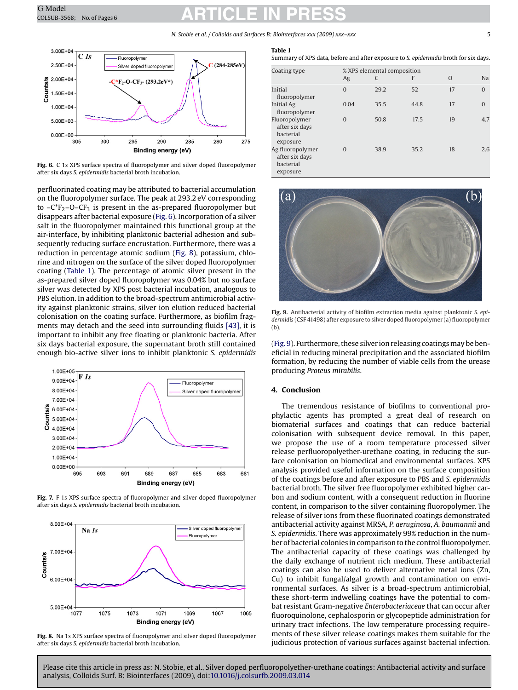# <span id="page-6-0"></span>G Model GOMOdel **ARTICLE IN PRESS**

#### *N. Stobie et al. / Colloids and Surfaces B: Biointerfaces xxx (2009) xxx–xxx* 5



**Fig. 6.** C 1s XPS surface spectra of fluoropolymer and silver doped fluoropolymer after six days *S. epidermidis* bacterial broth incubation.

perfluorinated coating may be attributed to bacterial accumulation on the fluoropolymer surface. The peak at 293.2 eV corresponding to  $-C<sup>*</sup>F<sub>2</sub>$ –O–CF<sub>3</sub> is present in the as-prepared fluoropolymer but disappears after bacterial exposure (Fig. 6). Incorporation of a silver salt in the fluoropolymer maintained this functional group at the air-interface, by inhibiting planktonic bacterial adhesion and subsequently reducing surface encrustation. Furthermore, there was a reduction in percentage atomic sodium (Fig. 8), potassium, chlorine and nitrogen on the surface of the silver doped fluoropolymer coating (Table 1). The percentage of atomic silver present in the as-prepared silver doped fluoropolymer was 0.04% but no surface silver was detected by XPS post bacterial incubation, analogous to PBS elution. In addition to the broad-spectrum antimicrobial activity against planktonic strains, silver ion elution reduced bacterial colonisation on the coating surface. Furthermore, as biofilm fragments may detach and the seed into surrounding fluids [\[43\], i](#page-7-0)t is important to inhibit any free floating or planktonic bacteria. After six days bacterial exposure, the supernatant broth still contained enough bio-active silver ions to inhibit planktonic *S. epidermidis*



**Fig. 7.** F 1s XPS surface spectra of fluoropolymer and silver doped fluoropolymer after six days *S. epidermidis* bacterial broth incubation.



**Fig. 8.** Na 1s XPS surface spectra of fluoropolymer and silver doped fluoropolymer after six days *S. epidermidis* bacterial broth incubation.

#### **Table 1**

Summary of XPS data, before and after exposure to *S. epidermidis* broth for six days.

| Coating type                                             | % XPS elemental composition |      |      |          |              |
|----------------------------------------------------------|-----------------------------|------|------|----------|--------------|
|                                                          | Ag                          |      | F    | $\Omega$ | <b>Na</b>    |
| Initial<br>fluoropolymer                                 | $\Omega$                    | 29.2 | 52   | 17       | $\Omega$     |
| Initial Ag<br>fluoropolymer                              | 0.04                        | 35.5 | 44.8 | 17       | $\mathbf{0}$ |
| Fluoropolymer<br>after six days<br>bacterial<br>exposure | $\Omega$                    | 50.8 | 17.5 | 19       | 4.7          |
| Ag fluoropolymer<br>after six days<br>bacterial          | $\Omega$                    | 38.9 | 35.2 | 18       | 2.6          |

exposure



**Fig. 9.** Antibacterial activity of biofilm extraction media against planktonic *S. epidermidis* (CSF 41498) after exposure to silver doped fluoropolymer (a) fluoropolymer (b).

(Fig. 9). Furthermore, these silver ion releasing coatings may be beneficial in reducing mineral precipitation and the associated biofilm formation, by reducing the number of viable cells from the urease producing *Proteus mirabilis*.

#### **4. Conclusion**

The tremendous resistance of biofilms to conventional prophylactic agents has prompted a great deal of research on biomaterial surfaces and coatings that can reduce bacterial colonisation with subsequent device removal. In this paper, we propose the use of a room temperature processed silver release perfluoropolyether-urethane coating, in reducing the surface colonisation on biomedical and environmental surfaces. XPS analysis provided useful information on the surface composition of the coatings before and after exposure to PBS and *S. epidermidis* bacterial broth. The silver free fluoropolymer exhibited higher carbon and sodium content, with a consequent reduction in fluorine content, in comparison to the silver containing fluoropolymer. The release of silver ions from these fluorinated coatings demonstrated antibacterial activity against MRSA, *P. aeruginosa*, *A. baumannii* and *S. epidermidis*. There was approximately 99% reduction in the number of bacterial colonies in comparison to the control fluoropolymer. The antibacterial capacity of these coatings was challenged by the daily exchange of nutrient rich medium. These antibacterial coatings can also be used to deliver alternative metal ions (Zn, Cu) to inhibit fungal/algal growth and contamination on environmental surfaces. As silver is a broad-spectrum antimicrobial, these short-term indwelling coatings have the potential to combat resistant Gram-negative *Enterobacteriaceae* that can occur after fluoroquinolone, cephalosporin or glycopeptide administration for urinary tract infections. The low temperature processing requirements of these silver release coatings makes them suitable for the judicious protection of various surfaces against bacterial infection.